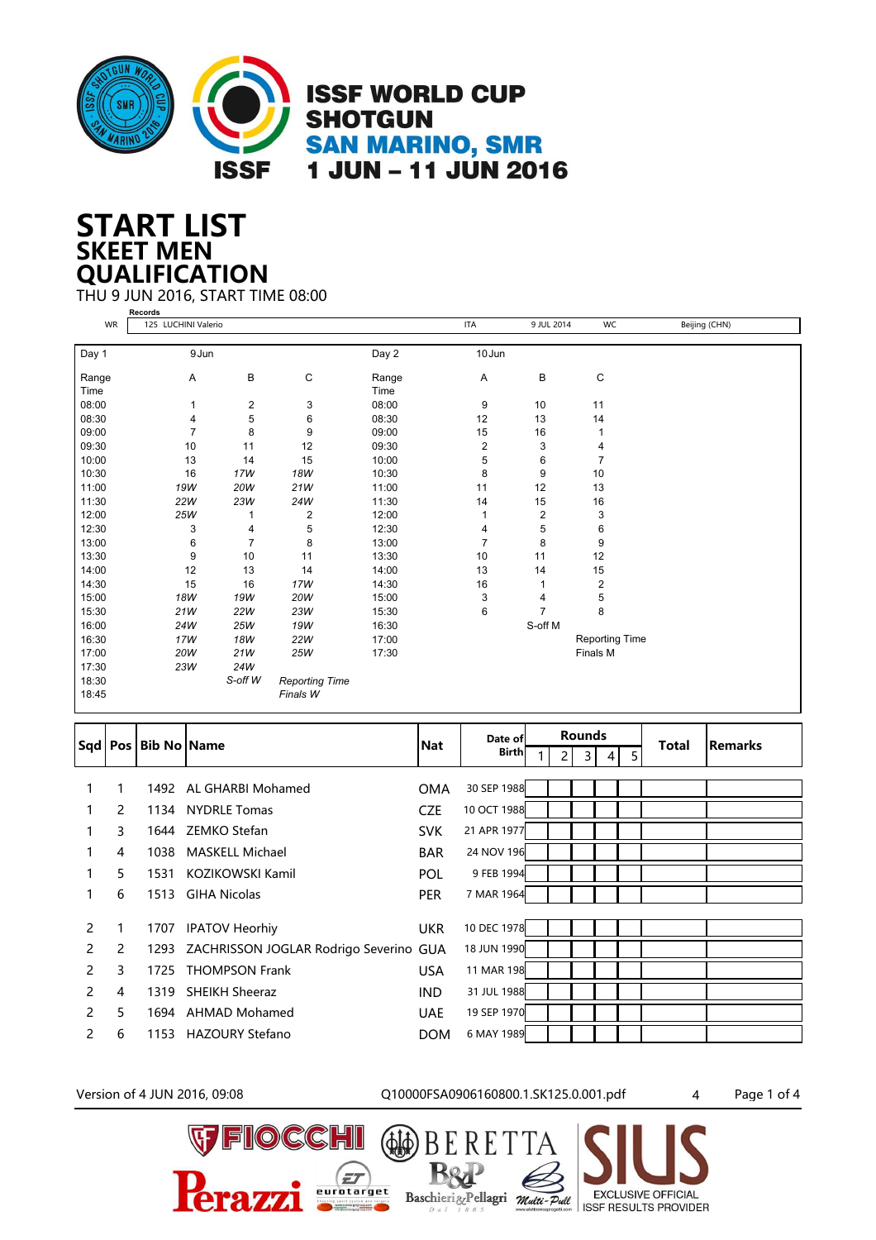

## **SKEET MEN START LIST QUALIFICATION**

THU 9 JUN 2016, START TIME 08:00

|           | <b>Records</b>      |                |                       |       |                |                |                       |               |
|-----------|---------------------|----------------|-----------------------|-------|----------------|----------------|-----------------------|---------------|
| <b>WR</b> | 125 LUCHINI Valerio |                |                       |       | <b>ITA</b>     | 9 JUL 2014     | WC                    | Beijing (CHN) |
|           |                     |                |                       |       |                |                |                       |               |
| Day 1     | 9 Jun               |                |                       | Day 2 | 10 Jun         |                |                       |               |
| Range     | Α                   | B              | C                     | Range | A              | B              | C                     |               |
| Time      |                     |                |                       | Time  |                |                |                       |               |
| 08:00     | 1                   | $\overline{c}$ | 3                     | 08:00 | 9              | 10             | 11                    |               |
| 08:30     | 4                   | 5              | $6\phantom{1}6$       | 08:30 | 12             | 13             | 14                    |               |
| 09:00     | $\overline{7}$      | 8              | 9                     | 09:00 | 15             | 16             | 1                     |               |
| 09:30     | 10                  | 11             | 12                    | 09:30 | $\overline{2}$ | 3              | 4                     |               |
| 10:00     | 13                  | 14             | 15                    | 10:00 | 5              | 6              | $\overline{7}$        |               |
| 10:30     | 16                  | 17W            | 18W                   | 10:30 | 8              | 9              | 10                    |               |
| 11:00     | 19W                 | 20W            | 21W                   | 11:00 | 11             | 12             | 13                    |               |
| 11:30     | 22W                 | 23W            | 24W                   | 11:30 | 14             | 15             | 16                    |               |
| 12:00     | 25W                 | 1              | $\overline{2}$        | 12:00 | $\mathbf{1}$   | $\overline{2}$ | 3                     |               |
| 12:30     | 3                   | 4              | 5                     | 12:30 | 4              | 5              | 6                     |               |
| 13:00     | 6                   | $\overline{7}$ | 8                     | 13:00 | $\overline{7}$ | 8              | 9                     |               |
| 13:30     | 9                   | 10             | 11                    | 13:30 | 10             | 11             | 12                    |               |
| 14:00     | 12                  | 13             | 14                    | 14:00 | 13             | 14             | 15                    |               |
| 14:30     | 15                  | 16             | 17W                   | 14:30 | 16             | 1              | $\overline{2}$        |               |
| 15:00     | 18W                 | 19W            | 20W                   | 15:00 | 3              | 4              | 5                     |               |
| 15:30     | 21W                 | 22W            | 23W                   | 15:30 | 6              | 7              | 8                     |               |
| 16:00     | 24W                 | 25W            | 19W                   | 16:30 |                | S-off M        |                       |               |
| 16:30     | 17W                 | 18W            | 22W                   | 17:00 |                |                | <b>Reporting Time</b> |               |
| 17:00     | 20W                 | 21W            | 25W                   | 17:30 |                |                | Finals M              |               |
| 17:30     | 23W                 | 24W            |                       |       |                |                |                       |               |
| 18:30     |                     | S-off W        | <b>Reporting Time</b> |       |                |                |                       |               |
| 18:45     |                     |                | Finals W              |       |                |                |                       |               |

|               |   |                           |                                             | <b>Nat</b>   | Date of     | <b>Rounds</b> |                       |                |   | Total |  |                |
|---------------|---|---------------------------|---------------------------------------------|--------------|-------------|---------------|-----------------------|----------------|---|-------|--|----------------|
|               |   | Sqd   Pos   Bib No   Name |                                             | <b>Birth</b> |             |               | $\mathbf{2}^{\prime}$ | $\overline{3}$ | 4 | 5     |  | <b>Remarks</b> |
|               |   |                           |                                             |              |             |               |                       |                |   |       |  |                |
|               |   |                           | 1492 AL GHARBI Mohamed                      | <b>OMA</b>   | 30 SEP 1988 |               |                       |                |   |       |  |                |
|               | 2 | 1134                      | <b>NYDRLE Tomas</b>                         | <b>CZE</b>   | 10 OCT 1988 |               |                       |                |   |       |  |                |
|               | 3 |                           | 1644 ZEMKO Stefan                           | <b>SVK</b>   | 21 APR 1977 |               |                       |                |   |       |  |                |
|               | 4 | 1038                      | <b>MASKELL Michael</b>                      | <b>BAR</b>   | 24 NOV 196  |               |                       |                |   |       |  |                |
|               | 5 |                           | 1531 KOZIKOWSKI Kamil                       | <b>POL</b>   | 9 FEB 1994  |               |                       |                |   |       |  |                |
| 1             | 6 |                           | 1513 GIHA Nicolas                           | <b>PER</b>   | 7 MAR 1964  |               |                       |                |   |       |  |                |
|               |   |                           |                                             |              |             |               |                       |                |   |       |  |                |
| 2             |   | 1707                      | <b>IPATOV Heorhiy</b>                       | <b>UKR</b>   | 10 DEC 1978 |               |                       |                |   |       |  |                |
| 2             | 2 |                           | 1293 ZACHRISSON JOGLAR Rodrigo Severino GUA |              | 18 JUN 1990 |               |                       |                |   |       |  |                |
| 2             | 3 | 1725                      | <b>THOMPSON Frank</b>                       | <b>USA</b>   | 11 MAR 198  |               |                       |                |   |       |  |                |
| 2             | 4 | 1319                      | <b>SHEIKH Sheeraz</b>                       | <b>IND</b>   | 31 JUL 1988 |               |                       |                |   |       |  |                |
| $\mathcal{P}$ | 5 | 1694                      | AHMAD Mohamed                               | <b>UAE</b>   | 19 SEP 1970 |               |                       |                |   |       |  |                |
| 2             | 6 |                           | 1153 HAZOURY Stefano                        | <b>DOM</b>   | 6 MAY 1989  |               |                       |                |   |       |  |                |

Æ

F

**IOCCHI** 

(ET eurotarget

hooling aport system and targets<br>www.eurotarprigram.com

 $\bigoplus$ 

Version of 4 JUN 2016, 09:08 <br>
Q10000FSA0906160800.1.SK125.0.001.pdf 4 Page 1 of 4

R E T

Baschieri & Pellagri Mutti-Putl

**EXCLUSIVE OFFICIAL** 

**ISSF RESULTS PROVIDER**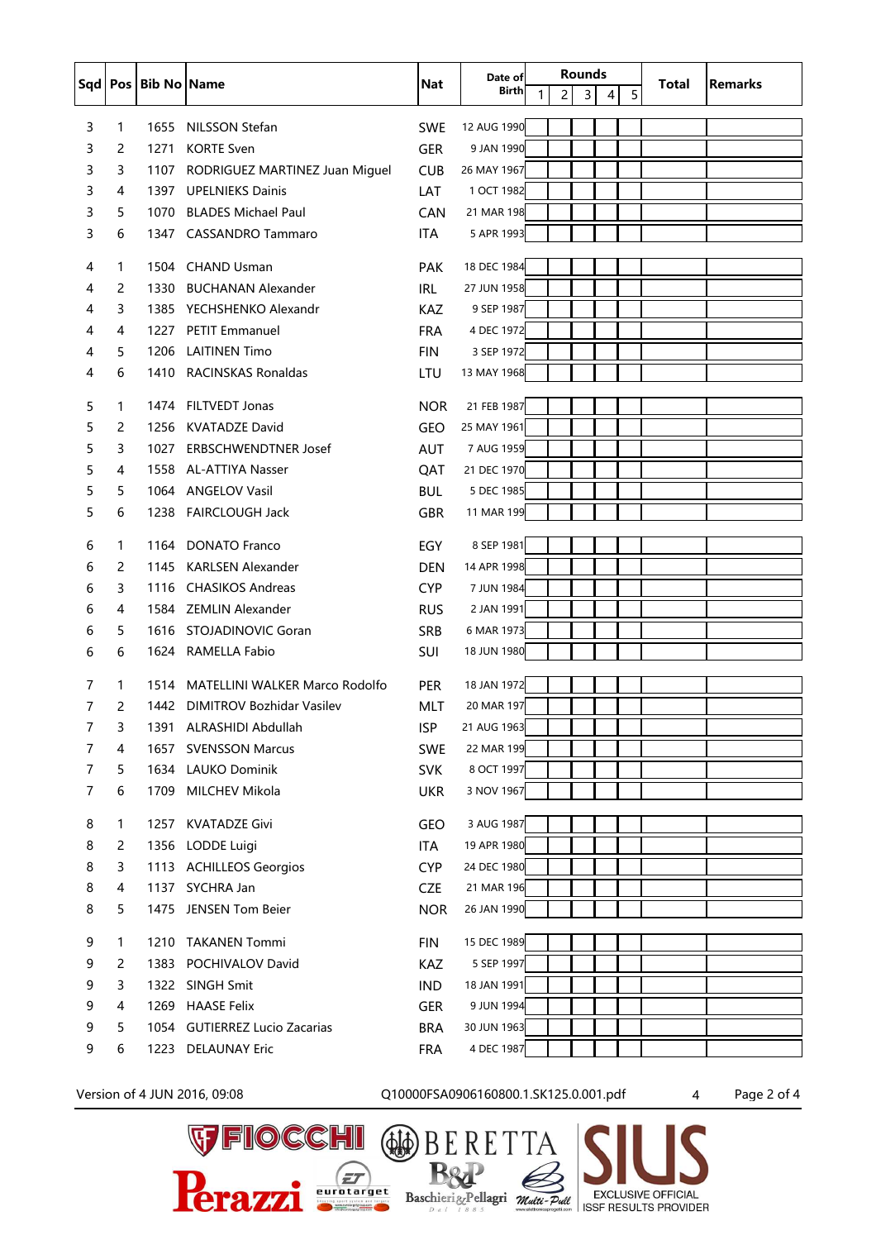|   |              |                           |                                     |            | Date of     | <b>Rounds</b>       |   |        |       |                |  |
|---|--------------|---------------------------|-------------------------------------|------------|-------------|---------------------|---|--------|-------|----------------|--|
|   |              | Sqd   Pos   Bib No   Name |                                     | <b>Nat</b> | Birth       | $\overline{c}$<br>1 | 3 | 5<br>4 | Total | <b>Remarks</b> |  |
| 3 | 1            |                           | 1655 NILSSON Stefan                 | <b>SWE</b> | 12 AUG 1990 |                     |   |        |       |                |  |
| 3 | 2            | 1271                      | <b>KORTE Sven</b>                   | <b>GER</b> | 9 JAN 1990  |                     |   |        |       |                |  |
| 3 | 3            |                           | 1107 RODRIGUEZ MARTINEZ Juan Miguel | <b>CUB</b> | 26 MAY 1967 |                     |   |        |       |                |  |
| 3 | 4            | 1397                      | <b>UPELNIEKS Dainis</b>             | LAT        | 1 OCT 1982  |                     |   |        |       |                |  |
| 3 | 5            | 1070                      | <b>BLADES Michael Paul</b>          | CAN        | 21 MAR 198  |                     |   |        |       |                |  |
| 3 | 6            | 1347                      | <b>CASSANDRO Tammaro</b>            | ITA.       | 5 APR 1993  |                     |   |        |       |                |  |
|   |              |                           |                                     |            |             |                     |   |        |       |                |  |
| 4 | 1            |                           | 1504 CHAND Usman                    | <b>PAK</b> | 18 DEC 1984 |                     |   |        |       |                |  |
| 4 | 2            | 1330                      | <b>BUCHANAN Alexander</b>           | <b>IRL</b> | 27 JUN 1958 |                     |   |        |       |                |  |
| 4 | 3            |                           | 1385 YECHSHENKO Alexandr            | KAZ        | 9 SEP 1987  |                     |   |        |       |                |  |
| 4 | 4            | 1227                      | <b>PETIT Emmanuel</b>               | <b>FRA</b> | 4 DEC 1972  |                     |   |        |       |                |  |
| 4 | 5            | 1206                      | <b>LAITINEN Timo</b>                | <b>FIN</b> | 3 SEP 1972  |                     |   |        |       |                |  |
| 4 | 6            | 1410                      | RACINSKAS Ronaldas                  | LTU        | 13 MAY 1968 |                     |   |        |       |                |  |
| 5 | 1            |                           | 1474 FILTVEDT Jonas                 | <b>NOR</b> | 21 FEB 1987 |                     |   |        |       |                |  |
| 5 | 2            | 1256                      | <b>KVATADZE David</b>               | <b>GEO</b> | 25 MAY 1961 |                     |   |        |       |                |  |
| 5 | 3            | 1027                      | <b>ERBSCHWENDTNER Josef</b>         | <b>AUT</b> | 7 AUG 1959  |                     |   |        |       |                |  |
| 5 | 4            | 1558                      | <b>AL-ATTIYA Nasser</b>             | QAT        | 21 DEC 1970 |                     |   |        |       |                |  |
| 5 | 5            |                           | 1064 ANGELOV Vasil                  | <b>BUL</b> | 5 DEC 1985  |                     |   |        |       |                |  |
| 5 | 6            |                           | 1238 FAIRCLOUGH Jack                | <b>GBR</b> | 11 MAR 199  |                     |   |        |       |                |  |
|   |              |                           |                                     |            |             |                     |   |        |       |                |  |
| 6 | 1            | 1164                      | <b>DONATO Franco</b>                | EGY        | 8 SEP 1981  |                     |   |        |       |                |  |
| 6 | 2            | 1145                      | <b>KARLSEN Alexander</b>            | <b>DEN</b> | 14 APR 1998 |                     |   |        |       |                |  |
| 6 | 3            | 1116                      | <b>CHASIKOS Andreas</b>             | <b>CYP</b> | 7 JUN 1984  |                     |   |        |       |                |  |
| 6 | 4            | 1584                      | <b>ZEMLIN Alexander</b>             | <b>RUS</b> | 2 JAN 1991  |                     |   |        |       |                |  |
| 6 | 5            | 1616                      | <b>STOJADINOVIC Goran</b>           | <b>SRB</b> | 6 MAR 1973  |                     |   |        |       |                |  |
| 6 | 6            |                           | 1624 RAMELLA Fabio                  | SUI        | 18 JUN 1980 |                     |   |        |       |                |  |
| 7 | 1            | 1514                      | MATELLINI WALKER Marco Rodolfo      | <b>PER</b> | 18 JAN 1972 |                     |   |        |       |                |  |
| 7 | 2            |                           | 1442 DIMITROV Bozhidar Vasilev      | MLT        | 20 MAR 197  |                     |   |        |       |                |  |
| 7 | 3            |                           | 1391 ALRASHIDI Abdullah             | <b>ISP</b> | 21 AUG 1963 |                     |   |        |       |                |  |
| 7 | 4            | 1657                      | <b>SVENSSON Marcus</b>              | <b>SWE</b> | 22 MAR 199  |                     |   |        |       |                |  |
| 7 | 5            |                           | 1634 LAUKO Dominik                  | <b>SVK</b> | 8 OCT 1997  |                     |   |        |       |                |  |
| 7 | 6            | 1709                      | MILCHEV Mikola                      | <b>UKR</b> | 3 NOV 1967  |                     |   |        |       |                |  |
|   |              |                           |                                     |            |             |                     |   |        |       |                |  |
| 8 | 1            |                           | 1257 KVATADZE Givi                  | GEO        | 3 AUG 1987  |                     |   |        |       |                |  |
| 8 | 2            |                           | 1356 LODDE Luigi                    | <b>ITA</b> | 19 APR 1980 |                     |   |        |       |                |  |
| 8 | 3            |                           | 1113 ACHILLEOS Georgios             | <b>CYP</b> | 24 DEC 1980 |                     |   |        |       |                |  |
| 8 | 4            |                           | 1137 SYCHRA Jan                     | <b>CZE</b> | 21 MAR 196  |                     |   |        |       |                |  |
| 8 | 5            |                           | 1475 JENSEN Tom Beier               | <b>NOR</b> | 26 JAN 1990 |                     |   |        |       |                |  |
| 9 | $\mathbf{1}$ |                           | 1210 TAKANEN Tommi                  | <b>FIN</b> | 15 DEC 1989 |                     |   |        |       |                |  |
| 9 | 2            |                           | 1383 POCHIVALOV David               | KAZ        | 5 SEP 1997  |                     |   |        |       |                |  |
| 9 | 3            |                           | 1322 SINGH Smit                     | IND        | 18 JAN 1991 |                     |   |        |       |                |  |
| 9 | 4            |                           | 1269 HAASE Felix                    | <b>GER</b> | 9 JUN 1994  |                     |   |        |       |                |  |
| 9 | 5            |                           | 1054 GUTIERREZ Lucio Zacarias       | <b>BRA</b> | 30 JUN 1963 |                     |   |        |       |                |  |
| 9 | 6            |                           | 1223 DELAUNAY Eric                  | <b>FRA</b> | 4 DEC 1987  |                     |   |        |       |                |  |
|   |              |                           |                                     |            |             |                     |   |        |       |                |  |

**Pera** 

**GALOCCHI** 

eurotarget

Version of 4 JUN 2016, 09:08 <br>
Q10000FSA0906160800.1.SK125.0.001.pdf 4 Page 2 of 4

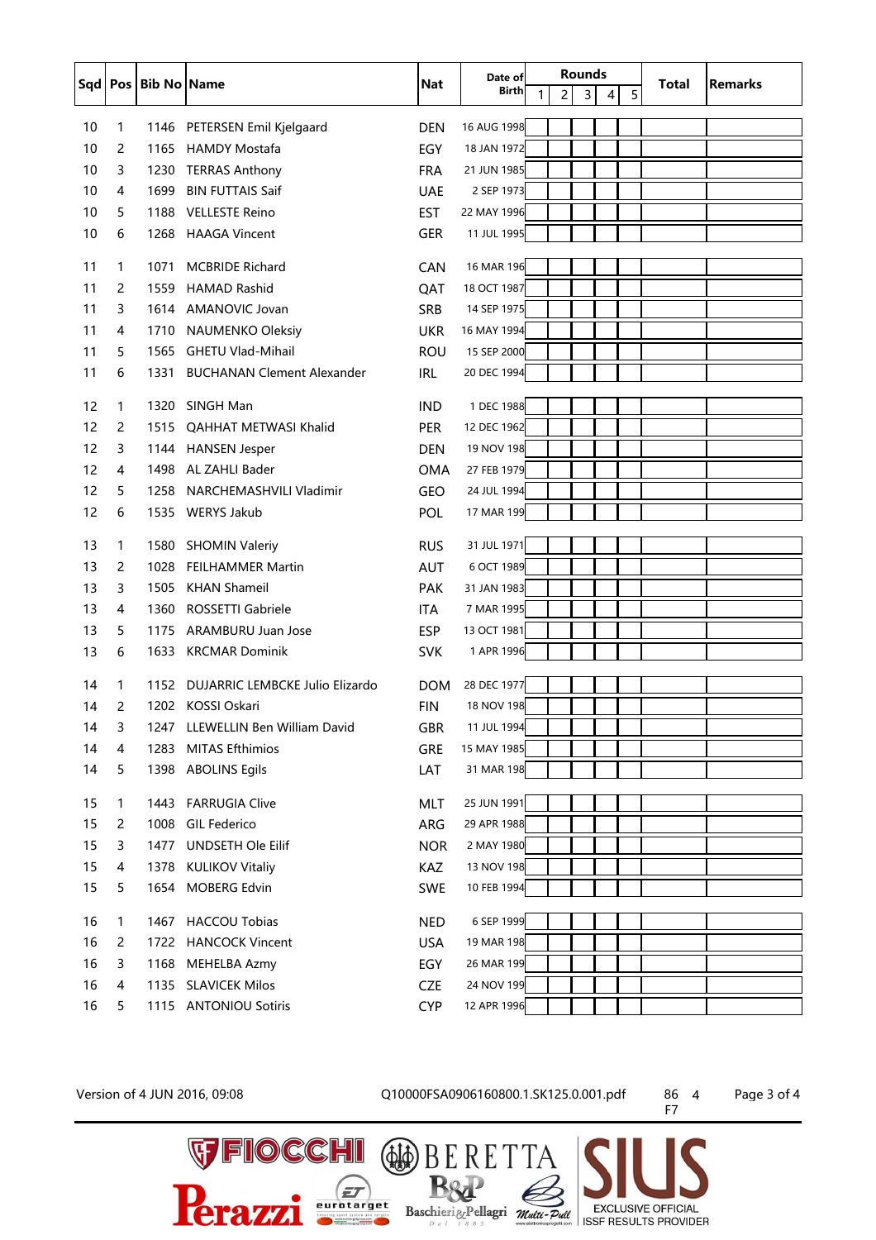|    | Sqd   Pos   Bib No   Name |              |                                                   |            | Date of     | <b>Rounds</b> |                |   |   |   |              | <b>Remarks</b> |
|----|---------------------------|--------------|---------------------------------------------------|------------|-------------|---------------|----------------|---|---|---|--------------|----------------|
|    |                           |              |                                                   | <b>Nat</b> | Birth       | 1             | $\overline{c}$ | 3 | 4 | 5 | <b>Total</b> |                |
| 10 | 1                         | 1146         | PETERSEN Emil Kjelgaard                           | <b>DEN</b> | 16 AUG 1998 |               |                |   |   |   |              |                |
| 10 | 2                         | 1165         | <b>HAMDY Mostafa</b>                              | EGY        | 18 JAN 1972 |               |                |   |   |   |              |                |
| 10 | 3                         | 1230         | <b>TERRAS Anthony</b>                             | <b>FRA</b> | 21 JUN 1985 |               |                |   |   |   |              |                |
| 10 | 4                         | 1699         | <b>BIN FUTTAIS Saif</b>                           | <b>UAE</b> | 2 SEP 1973  |               |                |   |   |   |              |                |
| 10 | 5                         | 1188         | <b>VELLESTE Reino</b>                             | <b>EST</b> | 22 MAY 1996 |               |                |   |   |   |              |                |
| 10 | 6                         | 1268         | <b>HAAGA Vincent</b>                              | <b>GER</b> | 11 JUL 1995 |               |                |   |   |   |              |                |
|    |                           |              |                                                   |            |             |               |                |   |   |   |              |                |
| 11 | 1                         | 1071         | <b>MCBRIDE Richard</b>                            | CAN        | 16 MAR 196  |               |                |   |   |   |              |                |
| 11 | 2                         | 1559         | <b>HAMAD Rashid</b>                               | QAT        | 18 OCT 1987 |               |                |   |   |   |              |                |
| 11 | 3                         |              | 1614 AMANOVIC Jovan                               | <b>SRB</b> | 14 SEP 1975 |               |                |   |   |   |              |                |
| 11 | 4                         | 1710         | NAUMENKO Oleksiy                                  | <b>UKR</b> | 16 MAY 1994 |               |                |   |   |   |              |                |
| 11 | 5                         | 1565         | <b>GHETU Vlad-Mihail</b>                          | <b>ROU</b> | 15 SEP 2000 |               |                |   |   |   |              |                |
| 11 | 6                         | 1331         | <b>BUCHANAN Clement Alexander</b>                 | IRL        | 20 DEC 1994 |               |                |   |   |   |              |                |
| 12 | 1                         | 1320         | SINGH Man                                         | <b>IND</b> | 1 DEC 1988  |               |                |   |   |   |              |                |
| 12 | 2                         | 1515         | QAHHAT METWASI Khalid                             | <b>PER</b> | 12 DEC 1962 |               |                |   |   |   |              |                |
| 12 | 3                         | 1144         | <b>HANSEN Jesper</b>                              | <b>DEN</b> | 19 NOV 198  |               |                |   |   |   |              |                |
| 12 | 4                         | 1498         | AL ZAHLI Bader                                    | <b>OMA</b> | 27 FEB 1979 |               |                |   |   |   |              |                |
| 12 | 5                         | 1258         | NARCHEMASHVILI Vladimir                           | GEO        | 24 JUL 1994 |               |                |   |   |   |              |                |
| 12 | 6                         | 1535         | <b>WERYS Jakub</b>                                | POL        | 17 MAR 199  |               |                |   |   |   |              |                |
| 13 | 1                         |              |                                                   |            | 31 JUL 1971 |               |                |   |   |   |              |                |
| 13 | 2                         | 1580<br>1028 | <b>SHOMIN Valeriy</b><br><b>FEILHAMMER Martin</b> | <b>RUS</b> | 6 OCT 1989  |               |                |   |   |   |              |                |
|    |                           |              |                                                   | <b>AUT</b> |             |               |                |   |   |   |              |                |
| 13 | 3                         | 1505         | <b>KHAN Shameil</b>                               | <b>PAK</b> | 31 JAN 1983 |               |                |   |   |   |              |                |
| 13 | 4                         | 1360         | ROSSETTI Gabriele                                 | ITA        | 7 MAR 1995  |               |                |   |   |   |              |                |
| 13 | 5                         | 1175         | ARAMBURU Juan Jose                                | ESP        | 13 OCT 1981 |               |                |   |   |   |              |                |
| 13 | 6                         | 1633         | <b>KRCMAR Dominik</b>                             | <b>SVK</b> | 1 APR 1996  |               |                |   |   |   |              |                |
| 14 | 1                         | 1152         | DUJARRIC LEMBCKE Julio Elizardo                   | <b>DOM</b> | 28 DEC 1977 |               |                |   |   |   |              |                |
| 14 | 2                         | 1202         | KOSSI Oskari                                      | <b>FIN</b> | 18 NOV 198  |               |                |   |   |   |              |                |
| 14 | 3                         |              | 1247 LLEWELLIN Ben William David                  | GBR        | 11 JUL 1994 |               |                |   |   |   |              |                |
| 14 | 4                         | 1283         | MITAS Efthimios                                   | <b>GRE</b> | 15 MAY 1985 |               |                |   |   |   |              |                |
| 14 | 5                         | 1398         | <b>ABOLINS Egils</b>                              | LAT        | 31 MAR 198  |               |                |   |   |   |              |                |
| 15 | 1                         |              | 1443 FARRUGIA Clive                               | MLT        | 25 JUN 1991 |               |                |   |   |   |              |                |
| 15 | 2                         | 1008         | <b>GIL Federico</b>                               | ARG        | 29 APR 1988 |               |                |   |   |   |              |                |
| 15 | 3                         | 1477         | UNDSETH Ole Eilif                                 | <b>NOR</b> | 2 MAY 1980  |               |                |   |   |   |              |                |
| 15 | 4                         | 1378         | <b>KULIKOV Vitaliy</b>                            | KAZ        | 13 NOV 198  |               |                |   |   |   |              |                |
| 15 | 5                         |              | 1654 MOBERG Edvin                                 | <b>SWE</b> | 10 FEB 1994 |               |                |   |   |   |              |                |
|    |                           |              |                                                   |            |             |               |                |   |   |   |              |                |
| 16 | 1                         |              | 1467 HACCOU Tobias                                | <b>NED</b> | 6 SEP 1999  |               |                |   |   |   |              |                |
| 16 | 2                         |              | 1722 HANCOCK Vincent                              | <b>USA</b> | 19 MAR 198  |               |                |   |   |   |              |                |
| 16 | 3                         |              | 1168 MEHELBA Azmy                                 | EGY        | 26 MAR 199  |               |                |   |   |   |              |                |
| 16 | 4                         |              | 1135 SLAVICEK Milos                               | CZE        | 24 NOV 199  |               |                |   |   |   |              |                |
| 16 | 5                         |              | 1115 ANTONIOU Sotiris                             | <b>CYP</b> | 12 APR 1996 |               |                |   |   |   |              |                |

**VEIOCCHI**<br>Perazzi

## Version of 4 JUN 2016, 09:08 Q10000FSA0906160800.1.SK125.0.001.pdf 86 4 Page 3 of 4

RETTA

Baschierig-Pellagri *Mutti-Putt* EXCLUSIVE OFFICIAL

(AD B

**B&P** 

 $\boxed{\mathcal{F}}$ 

F7

**EXCLUSIVE OFFICIAL**